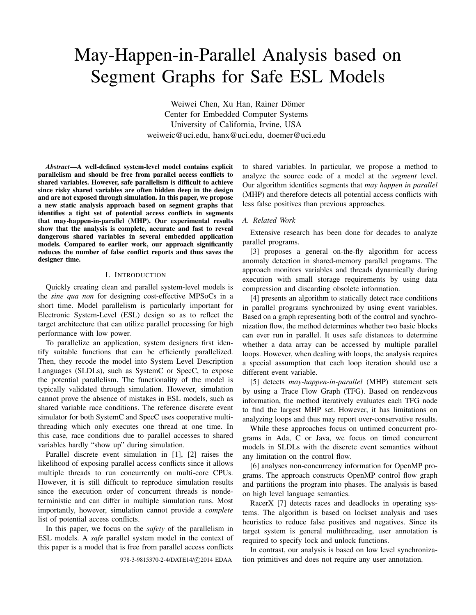# May-Happen-in-Parallel Analysis based on Segment Graphs for Safe ESL Models

Weiwei Chen, Xu Han, Rainer Dömer Center for Embedded Computer Systems University of California, Irvine, USA weiweic@uci.edu, hanx@uci.edu, doemer@uci.edu

*Abstract***—A well-defined system-level model contains explicit parallelism and should be free from parallel access conflicts to shared variables. However, safe parallelism is difficult to achieve since risky shared variables are often hidden deep in the design and are not exposed through simulation. In this paper, we propose a new static analysis approach based on segment graphs that identifies a tight set of potential access conflicts in segments that may-happen-in-parallel (MHP). Our experimental results show that the analysis is complete, accurate and fast to reveal dangerous shared variables in several embedded application models. Compared to earlier work, our approach significantly reduces the number of false conflict reports and thus saves the designer time.**

## I. INTRODUCTION

Quickly creating clean and parallel system-level models is the *sine qua non* for designing cost-effective MPSoCs in a short time. Model parallelism is particularly important for Electronic System-Level (ESL) design so as to reflect the target architecture that can utilize parallel processing for high performance with low power.

To parallelize an application, system designers first identify suitable functions that can be efficiently parallelized. Then, they recode the model into System Level Description Languages (SLDLs), such as SystemC or SpecC, to expose the potential parallelism. The functionality of the model is typically validated through simulation. However, simulation cannot prove the absence of mistakes in ESL models, such as shared variable race conditions. The reference discrete event simulator for both SystemC and SpecC uses cooperative multithreading which only executes one thread at one time. In this case, race conditions due to parallel accesses to shared variables hardly "show up" during simulation.

Parallel discrete event simulation in [1], [2] raises the likelihood of exposing parallel access conflicts since it allows multiple threads to run concurrently on multi-core CPUs. However, it is still difficult to reproduce simulation results since the execution order of concurrent threads is nondeterministic and can differ in multiple simulation runs. Most importantly, however, simulation cannot provide a *complete* list of potential access conflicts.

In this paper, we focus on the *safety* of the parallelism in ESL models. A *safe* parallel system model in the context of this paper is a model that is free from parallel access conflicts

to shared variables. In particular, we propose a method to analyze the source code of a model at the *segment* level. Our algorithm identifies segments that *may happen in parallel* (MHP) and therefore detects all potential access conflicts with less false positives than previous approaches.

## *A. Related Work*

Extensive research has been done for decades to analyze parallel programs.

[3] proposes a general on-the-fly algorithm for access anomaly detection in shared-memory parallel programs. The approach monitors variables and threads dynamically during execution with small storage requirements by using data compression and discarding obsolete information.

[4] presents an algorithm to statically detect race conditions in parallel programs synchronized by using event variables. Based on a graph representing both of the control and synchronization flow, the method determines whether two basic blocks can ever run in parallel. It uses safe distances to determine whether a data array can be accessed by multiple parallel loops. However, when dealing with loops, the analysis requires a special assumption that each loop iteration should use a different event variable.

[5] detects *may-happen-in-parallel* (MHP) statement sets by using a Trace Flow Graph (TFG). Based on rendezvous information, the method iteratively evaluates each TFG node to find the largest MHP set. However, it has limitations on analyzing loops and thus may report over-conservative results.

While these approaches focus on untimed concurrent programs in Ada, C or Java, we focus on timed concurrent models in SLDLs with the discrete event semantics without any limitation on the control flow.

[6] analyses non-concurrency information for OpenMP programs. The approach constructs OpenMP control flow graph and partitions the program into phases. The analysis is based on high level language semantics.

RacerX [7] detects races and deadlocks in operating systems. The algorithm is based on lockset analysis and uses heuristics to reduce false positives and negatives. Since its target system is general multithreading, user annotation is required to specify lock and unlock functions.

In contrast, our analysis is based on low level synchroniza-978-3-9815370-2-4/DATE14/©2014 EDAA tion primitives and does not require any user annotation.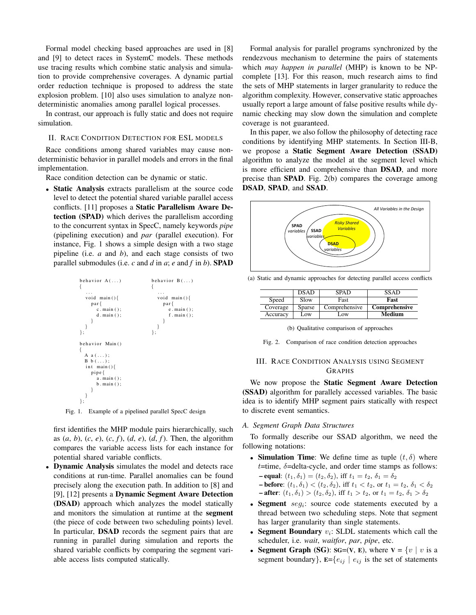Formal model checking based approaches are used in [8] and [9] to detect races in SystemC models. These methods use tracing results which combine static analysis and simulation to provide comprehensive coverages. A dynamic partial order reduction technique is proposed to address the state explosion problem. [10] also uses simulation to analyze nondeterministic anomalies among parallel logical processes.

In contrast, our approach is fully static and does not require simulation.

## II. RACE CONDITION DETECTION FOR ESL MODELS

Race conditions among shared variables may cause nondeterministic behavior in parallel models and errors in the final implementation.

Race condition detection can be dynamic or static.

• **Static Analysis** extracts parallelism at the source code level to detect the potential shared variable parallel access conflicts. [11] proposes a **Static Parallelism Aware Detection (SPAD)** which derives the parallelism according to the concurrent syntax in SpecC, namely keywords *pipe* (pipelining execution) and *par* (parallel execution). For instance, Fig. 1 shows a simple design with a two stage pipeline (i.e. *a* and *b*), and each stage consists of two parallel submodules (i.e. *c* and *d* in *a*; *e* and *f* in *b*). **SPAD**



Fig. 1. Example of a pipelined parallel SpecC design

first identifies the MHP module pairs hierarchically, such as (*a*, *b*), (*c*, *e*), (*c*, *f*), (*d*, *e*), (*d*, *f*). Then, the algorithm compares the variable access lists for each instance for potential shared variable conflicts.

• **Dynamic Analysis** simulates the model and detects race conditions at run-time. Parallel anomalies can be found precisely along the execution path. In addition to [8] and [9], [12] presents a **Dynamic Segment Aware Detection (DSAD)** approach which analyzes the model statically and monitors the simulation at runtime at the **segment** (the piece of code between two scheduling points) level. In particular, **DSAD** records the segment pairs that are running in parallel during simulation and reports the shared variable conflicts by comparing the segment variable access lists computed statically.

Formal analysis for parallel programs synchronized by the rendezvous mechanism to determine the pairs of statements which *may happen in parallel* (MHP) is known to be NPcomplete [13]. For this reason, much research aims to find the sets of MHP statements in larger granularity to reduce the algorithm complexity. However, conservative static approaches usually report a large amount of false positive results while dynamic checking may slow down the simulation and complete coverage is not guaranteed.

In this paper, we also follow the philosophy of detecting race conditions by identifying MHP statements. In Section III-B, we propose a **Static Segment Aware Detection (SSAD)** algorithm to analyze the model at the segment level which is more efficient and comprehensive than **DSAD**, and more precise than **SPAD**. Fig. 2(b) compares the coverage among **DSAD**, **SPAD**, and **SSAD**.



(a) Static and dynamic approaches for detecting parallel access conflicts

|          | <b>DSAD</b> | SPAD          | SSAD          |
|----------|-------------|---------------|---------------|
| Speed    | Slow        | Fast          | Fast          |
| Coverage | Sparse      | Comprehensive | Comprehensive |
| Accuracv | Low         | Low           | Medium        |

(b) Qualitative comparison of approaches

Fig. 2. Comparison of race condition detection approaches

# III. RACE CONDITION ANALYSIS USING SEGMENT **GRAPHS**

We now propose the **Static Segment Aware Detection (SSAD)** algorithm for parallely accessed variables. The basic idea is to identify MHP segment pairs statically with respect to discrete event semantics.

## *A. Segment Graph Data Structures*

To formally describe our SSAD algorithm, we need the following notations:

- **Simulation Time**: We define time as tuple  $(t, \delta)$  where  $t$ =time,  $\delta$ =delta-cycle, and order time stamps as follows: **– equal**:  $(t_1, \delta_1) = (t_2, \delta_2)$ , iff  $t_1 = t_2$ ,  $\delta_1 = \delta_2$ 
	- **before**:  $(t_1, \delta_1) < (t_2, \delta_2)$ , iff  $t_1 < t_2$ , or  $t_1 = t_2$ ,  $\delta_1 < \delta_2$
	- **after**:  $(t_1, \delta_1) > (t_2, \delta_2)$ , iff  $t_1 > t_2$ , or  $t_1 = t_2$ ,  $\delta_1 > \delta_2$
- **Segment** seg<sup>i</sup> : source code statements executed by a thread between two scheduling steps. Note that segment has larger granularity than single statements.
- **Segment Boundary**  $v_i$ : SLDL statements which call the scheduler, i.e. *wait*, *waitfor*, *par*, *pipe*, etc.
- **Segment Graph (SG):**  $SG=(V, E)$ **, where**  $V = \{v \mid v \text{ is a} \}$ segment boundary},  $\mathbf{E} = \{e_{ij} \mid e_{ij} \text{ is the set of statements} \}$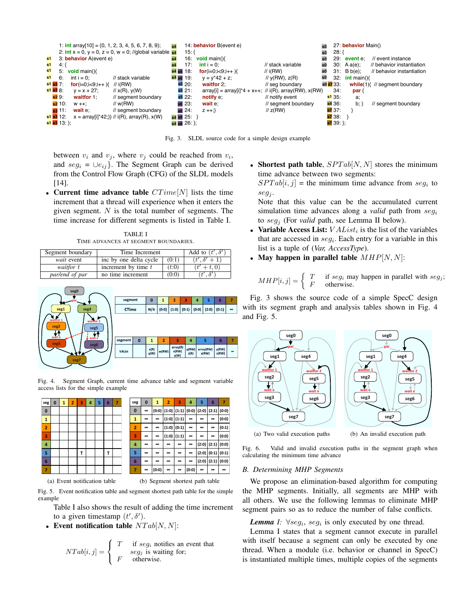

Fig. 3. SLDL source code for a simple design example

between  $v_i$  and  $v_j$ , where  $v_j$  could be reached from  $v_i$ , and  $seg_i = \bigcup e_{ij}$ . The Segment Graph can be derived from the Control Flow Graph (CFG) of the SLDL models [14].

• **Current time advance table**  $CTime[N]$  lists the time increment that a thread will experience when it enters the given segment.  $N$  is the total number of segments. The time increase for different segments is listed in Table I.

TABLE I TIME ADVANCES AT SEGMENT BOUNDARIES.

| Segment boundary  | Time Increment         |       | Add to $(t', \delta')$ |
|-------------------|------------------------|-------|------------------------|
| <i>wait</i> event | inc by one delta cycle | (0:1) | $(t', \delta')$        |
| <i>waitfor t</i>  | increment by time $t$  | (t:0) | $+t,0$                 |
| par/end of par    | no time increment      | (0:0) | $t'.\delta'$           |



Fig. 4. Segment Graph, current time advance table and segment variable access lists for the simple example

| seg            | $\bf{0}$ | 1 | 2 | 3 | 4 | 5 | 6 | 7 | seg            | $\bf{0}$ | 1        | 2        | 3        | 4           | 5        | 6                     | 7        |
|----------------|----------|---|---|---|---|---|---|---|----------------|----------|----------|----------|----------|-------------|----------|-----------------------|----------|
| $\bf{0}$       |          |   |   |   |   |   |   |   | $\bf{0}$       | $\infty$ | (0:0)    | (1:0)    |          | (1:1) (0:0) |          | $(2:0)$ $(2:1)$       | (0.0)    |
| 1              |          |   |   |   |   |   |   |   | $\mathbf{1}$   | $\infty$ | $\infty$ | (1:0)    | (1:1)    | $\infty$    | $\infty$ | $\infty$              | (0.0)    |
| $\overline{a}$ |          |   |   |   |   |   |   |   | $\overline{2}$ | $\infty$ | $\infty$ | (1:0)    | (0:1)    | $\infty$    | $\infty$ | $\infty$              | (0:1)    |
| 3              |          |   |   |   |   |   |   |   | 3              | $\infty$ | $\infty$ | (1:0)    | (1:1)    | $\infty$    | $\infty$ | $\infty$              | (0:0)    |
| $\overline{a}$ |          |   |   |   |   |   |   |   | 4              | $\infty$ | $\infty$ | $\infty$ | $\infty$ | $\infty$    |          | $(2:0)$ $(2:1)$       | (0:0)    |
| 5              |          |   |   | T |   |   | T |   | 5              | $\infty$ | $\infty$ | $\infty$ | $\infty$ | $\infty$    |          | (2:0)   (0:1)   (0:1) |          |
| 6              |          |   |   |   |   |   |   |   | 6              | $\infty$ | $\infty$ | $\infty$ | $\infty$ | $\infty$    |          | $(2:0)$ $(2:1)$       | (0:0)    |
| 7              |          |   |   |   |   |   |   |   | 7              | $\infty$ | (0:0)    | $\infty$ | $\infty$ | (0:0)       | $\infty$ | $\infty$              | $\infty$ |
|                |          |   |   |   |   |   |   |   |                |          |          |          |          |             |          |                       |          |

(a) Event notification table (b) Segment shortest path table

Fig. 5. Event notification table and segment shortest path table for the simple example

Table I also shows the result of adding the time increment to a given timestamp  $(t', \delta')$ .

• Event notification table  $NTab[N, N]$ :

$$
NTab[i,j] = \begin{cases} T & \text{if } seg_i \text{ notifies an event that} \\ seg_j \text{ is waiting for;} \\ F & \text{otherwise.} \end{cases}
$$

• **Shortest path table**,  $SPTab[N, N]$  stores the minimum time advance between two segments:

 $SPTab[i, j]$  = the minimum time advance from  $seg_i$  to  $seg_i$ .

Note that this value can be the accumulated current simulation time advances along a *valid* path from  $seq_i$ to seg<sup>j</sup> (For *valid* path, see Lemma II below).

- Variable Access List:  $VAList_i$  is the list of the variables that are accessed in  $seg_i$ . Each entry for a variable in this list is a tuple of (*Var, AccessType*).
- May happen in parallel table  $MHP[N, N]$ :

$$
MHP[i,j] = \begin{cases} T & \text{if } seg_i \text{ may happen in parallel with } seg_j; \\ F & \text{otherwise.} \end{cases}
$$

Fig. 3 shows the source code of a simple SpecC design with its segment graph and analysis tables shown in Fig. 4 and Fig. 5.



(a) Two valid execution paths

(b) An invalid execution path

Fig. 6. Valid and invalid execution paths in the segment graph when calculating the minimum time advance

#### *B. Determining MHP Segments*

We propose an elimination-based algorithm for computing the MHP segments. Initially, all segments are MHP with all others. We use the following lemmas to eliminate MHP segment pairs so as to reduce the number of false conflicts.

*Lemma I:*  $\forall seg_i$ ,  $seg_i$  is only executed by one thread.

Lemma I states that a segment cannot execute in parallel with itself because a segment can only be executed by one thread. When a module (i.e. behavior or channel in SpecC) is instantiated multiple times, multiple copies of the segments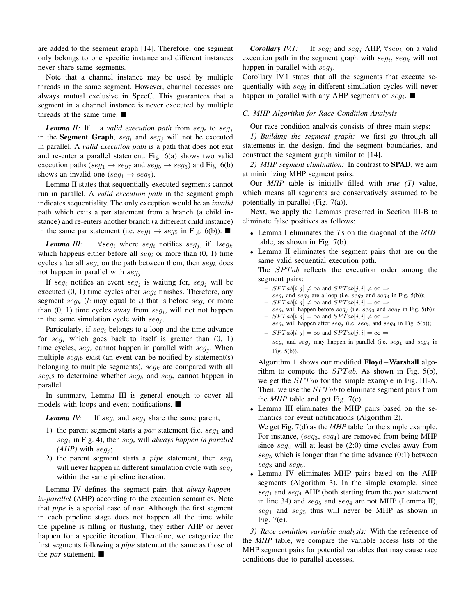are added to the segment graph [14]. Therefore, one segment only belongs to one specific instance and different instances never share same segments.

Note that a channel instance may be used by multiple threads in the same segment. However, channel accesses are always mutual exclusive in SpecC. This guarantees that a segment in a channel instance is never executed by multiple threads at the same time.

**Lemma** II: If  $\exists$  a *valid execution path* from  $seg_i$  to  $seg_j$ in the **Segment Graph**,  $seg_i$  and  $seg_j$  will not be executed in parallel. A *valid execution path* is a path that does not exit and re-enter a parallel statement. Fig. 6(a) shows two valid execution paths ( $seg_1 \rightarrow seg_7$  and  $seg_5 \rightarrow seg_5$ ) and Fig. 6(b) shows an invalid one ( $seg_1 \rightarrow seg_5$ ).

Lemma II states that sequentially executed segments cannot run in parallel. A *valid execution path* in the segment graph indicates sequentiality. The only exception would be an *invalid* path which exits a par statement from a branch (a child instance) and re-enters another branch (a different child instance) in the same par statement (i.e.  $seg_1 \rightarrow seg_5$  in Fig. 6(b)).

*Lemma III:*  $\forall$ seg<sub>i</sub> where seg<sub>i</sub> notifies seg<sub>i</sub>, if  $\exists$ seg<sub>k</sub> which happens either before all  $seg_i$  or more than  $(0, 1)$  time cycles after all  $seg_i$  on the path between them, then  $seg_k$  does not happen in parallel with  $seg_i$ .

If seg<sub>i</sub> notifies an event seg<sub>i</sub> is waiting for, seg<sub>i</sub> will be executed  $(0, 1)$  time cycles after seg<sub>i</sub> finishes. Therefore, any segment  $seg_k$  (k may equal to i) that is before  $seg_i$  or more than  $(0, 1)$  time cycles away from  $seg_i$ , will not not happen in the same simulation cycle with  $seg_i$ .

Particularly, if  $seq_i$  belongs to a loop and the time advance for  $seg_i$  which goes back to itself is greater than  $(0, 1)$ time cycles,  $seg_i$  cannot happen in parallel with  $seg_i$ . When multiple  $seg_i$ s exist (an event can be notified by statement(s) belonging to multiple segments),  $seg_k$  are compared with all  $seg_i$ s to determine whether  $seg_k$  and  $seg_i$  cannot happen in parallel.

In summary, Lemma III is general enough to cover all models with loops and event notifications.

*Lemma IV:* If  $seg_i$  and  $seg_j$  share the same parent,

- 1) the parent segment starts a par statement (i.e.  $seq_1$  and seg<sup>4</sup> in Fig. 4), then seg<sup>i</sup> will *always happen in parallel*  $(AHP)$  with  $seg_i$ ;
- 2) the parent segment starts a *pipe* statement, then  $seg_i$ will never happen in different simulation cycle with  $seq_i$ within the same pipeline iteration.

Lemma IV defines the segment pairs that *alway-happenin-parallel* (AHP) according to the execution semantics. Note that *pipe* is a special case of *par*. Although the first segment in each pipeline stage does not happen all the time while the pipeline is filling or flushing, they either AHP or never happen for a specific iteration. Therefore, we categorize the first segments following a *pipe* statement the same as those of the *par* statement.

*Corollary IV.1:* If  $seg_i$  and  $seg_j$  AHP,  $\forall seg_k$  on a valid execution path in the segment graph with  $seg_i, seg_k$  will not happen in parallel with  $seq_i$ .

Corollary IV.1 states that all the segments that execute sequentially with  $seg_i$  in different simulation cycles will never happen in parallel with any AHP segments of  $seg_i$ .

## *C. MHP Algorithm for Race Condition Analysis*

Our race condition analysis consists of three main steps:

*1) Building the segment graph:* we first go through all statements in the design, find the segment boundaries, and construct the segment graph similar to [14].

*2) MHP segment elimination:* In contrast to **SPAD**, we aim at minimizing MHP segment pairs.

Our *MHP* table is initially filled with *true (T)* value, which means all segments are conservatively assumed to be potentially in parallel (Fig. 7(a)).

Next, we apply the Lemmas presented in Section III-B to eliminate false positives as follows:

- Lemma I eliminates the *T*s on the diagonal of the *MHP* table, as shown in Fig. 7(b).
- Lemma II eliminates the segment pairs that are on the same valid sequential execution path.

The  $SPTab$  reflects the execution order among the segment pairs:

- **–**  $SPTab[i, j] \neq \infty$  and  $SPTab[j, i] \neq \infty$  ⇒
- $seg_i$  and  $seg_j$  are a loop (i.e.  $seg_2$  and  $seg_3$  in Fig. 5(b));
- $SPTab[i, j] \neq \infty$  and  $SPTab[j, i] = \infty \Rightarrow$
- seg<sub>i</sub> will happen before seg<sub>j</sub> (i.e. seg<sub>0</sub> and seg<sub>7</sub> in Fig. 5(b));  $SPTab[i, j] = \infty$  and  $SPTab[j, i] \neq \infty \Rightarrow$
- seg<sub>i</sub> will happen after seg<sub>j</sub> (i.e. seg<sub>5</sub> and seg<sub>4</sub> in Fig. 5(b)); **-**  $SPTab[i, j] = ∞$  and  $SPTab[j, i] = ∞$   $\Rightarrow$

 $seg_i$  and  $seg_j$  may happen in parallel (i.e.  $seg_1$  and  $seg_4$  in Fig. 5(b)).

Algorithm 1 shows our modified **Floyd**−**Warshall** algorithm to compute the  $SPTab$ . As shown in Fig. 5(b), we get the  $SPTab$  for the simple example in Fig. III-A. Then, we use the  $SPTab$  to eliminate segment pairs from the *MHP* table and get Fig. 7(c).

- Lemma III eliminates the MHP pairs based on the semantics for event notifications (Algorithm 2). We get Fig. 7(d) as the *MHP* table for the simple example. For instance,  $(seq_3, seq_4)$  are removed from being MHP since  $seg_4$  will at least be (2:0) time cycles away from  $seg_5$  which is longer than the time advance  $(0:1)$  between  $seg_3$  and  $seg_5$ .
- Lemma IV eliminates MHP pairs based on the AHP segments (Algorithm 3). In the simple example, since  $seg_1$  and  $seg_4$  AHP (both starting from the par statement in line 34) and  $seg_5$  and  $seg_4$  are not MHP (Lemma II),  $seg_1$  and  $seg_5$  thus will never be MHP as shown in Fig. 7(e).

*3) Race condition variable analysis:* With the reference of the *MHP* table, we compare the variable access lists of the MHP segment pairs for potential variables that may cause race conditions due to parallel accesses.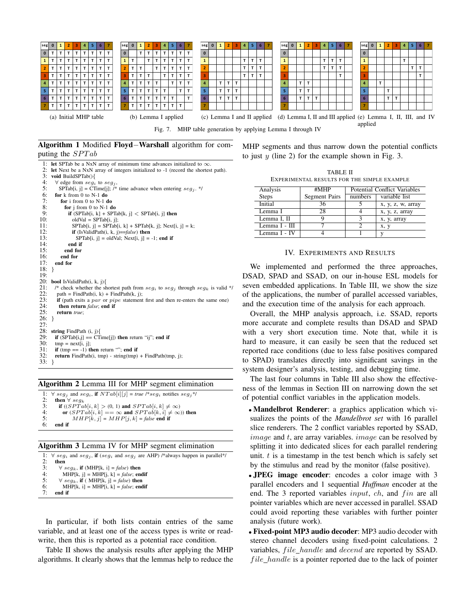

Fig. 7. MHP table generation by applying Lemma I through IV

# Algorithm 1 Modified Floyd-Warshall algorithm for computing the SPTab

let SPTab be a NxN array of minimum time advances initialized to  $\infty$ .  $1:$  $\overline{\mathcal{L}}$ let Next be a NxN array of integers initialized to -1 (record the shortest path). void BuildSPTab(){  $3:$  $4:$  $\forall$  edge from  $seg_i$  to  $seg_j$ ,<br>SPTab[i, j] = CTime[j]; /\* time advance when entering  $seg_j$ . \*/  $5:$ 6: for  $k$  from 0 to N-1 do for i from 0 to N-1 do 7:  $8:$ for  $j$  from 0 to N-1 do if  $(SPTab[i, k] + SPTab[k, j] < SPTab[i, j]$  then  $\mathbf{Q}$  $10:$  $oldVal = SPTab[i, i];$ SPTab[i, j] = SPTab[i, k] + SPTab[k, j]; Next[i, j] = k;  $11:$  $12:$ **if** (IsValidPath(i, k, j)== $false$ ) then  $13:$ SPTab[i, j] = oldVal; Next[i, j] = -1; end if  $14:$ end if  $15:$ end for  $16:$ end for  $17<sup>0</sup>$ end for  $18:$ - }  $19:$ 20: bool IsValidPath(i, k, j){  $\overline{21}$ : /\* check whether the shortest path from  $seg_i$  to  $seg_j$  through  $seg_k$  is valid \*/  $22.5$  $path = FindPath(i, k) + FindPath(k, j);$  $23:$ if (path exits a  $par$  or  $pipe$  statement first and then re-enters the same one)  $24:$ then return *false*; end if  $2.5$ return true:  $26:$ -1  $27.$  $28:$ string FindPath (i, j){  $\overline{29}$ : if  $(SPTab[i,j] == CTime[j])$  then return "ij"; end if  $30:$  $tmp = next[i, j];$  $31:$ if  $(tmp == -1)$  then return ""; end if  $32.$ return FindPath(i, tmp) - string(tmp) + FindPath(tmp, j);  $33:$ -1

## Algorithm 2 Lemma III for MHP segment elimination

 $1:$  $\forall$  seg<sub>j</sub> and seg<sub>i</sub>, if  $NTab[i][j]$  = true /\*seg<sub>i</sub> notifies seg<sub>j</sub>\*/ then  $\forall$  segk  $\mathfrak{p}$  $3:$ if  $((SPTab[i, k] > (0, 1)$  and  $SPTab[i, k] \neq \infty)$ or  $(SPTab[i, k] == \infty$  and  $SPTab[k, i] \neq \infty)$ ) then  $4:$  $\overline{5}$ :  $MHP[k, j] = MHP[j, k] = false$  end if 6: end if

# Algorithm 3 Lemma IV for MHP segment elimination

|    | 1: $\forall$ seg <sub>i</sub> and seg <sub>i</sub> , if (seg <sub>i</sub> and seg <sub>i</sub> are AHP) /*always happen in parallel*/ |
|----|---------------------------------------------------------------------------------------------------------------------------------------|
| 2: | then                                                                                                                                  |
| 3: | $\forall$ seq <sub>k</sub> , if (MHP[k, i] = <i>false</i> ) then                                                                      |
| 4: | MHP[k, i] = MHP[j, k] = <i>false</i> ; endif                                                                                          |
| 5: | $\forall$ seq <sub>k</sub> , if (MHP[k, j] = false) then                                                                              |
| 6: | MHP[k, i] = MHP[i, k] = $false$ ; endif                                                                                               |

 $7:$ end if

In particular, if both lists contain entries of the same variable, and at least one of the access types is write or readwrite, then this is reported as a potential race condition.

Table II shows the analysis results after applying the MHP algorithms. It clearly shows that the lemmas help to reduce the MHP segments and thus narrow down the potential conflicts to just  $y$  (line 2) for the example shown in Fig. 3.

| TABLE II                                    |  |  |  |  |  |  |  |  |  |  |
|---------------------------------------------|--|--|--|--|--|--|--|--|--|--|
| EXPERIMENTAL RESULTS FOR THE SIMPLE EXAMPLE |  |  |  |  |  |  |  |  |  |  |

| Analysis      | #MHP                 | <b>Potential Conflict Variables</b> |                   |  |  |  |  |
|---------------|----------------------|-------------------------------------|-------------------|--|--|--|--|
| <b>Steps</b>  | <b>Segment Pairs</b> | numbers                             | variable list     |  |  |  |  |
| Initial       | 36                   |                                     | x, y, z, w, array |  |  |  |  |
| Lemma I       | 28                   |                                     | x, y, z, array    |  |  |  |  |
| Lemma I, II   |                      |                                     | x, y, array       |  |  |  |  |
| Lemma I - III |                      |                                     | x, y              |  |  |  |  |
| Lemma I - IV  |                      |                                     |                   |  |  |  |  |

## **IV. EXPERIMENTS AND RESULTS**

We implemented and performed the three approaches, DSAD, SPAD and SSAD, on our in-house ESL models for seven embedded applications. In Table III, we show the size of the applications, the number of parallel accessed variables, and the execution time of the analysis for each approach.

Overall, the MHP analysis approach, i.e. SSAD, reports more accurate and complete results than DSAD and SPAD with a very short execution time. Note that, while it is hard to measure, it can easily be seen that the reduced set reported race conditions (due to less false positives compared to SPAD) translates directly into significant savings in the system designer's analysis, testing, and debugging time.

The last four columns in Table III also show the effectiveness of the lemmas in Section III on narrowing down the set of potential conflict variables in the application models.

• Mandelbrot Renderer: a graphics application which visualizes the points of the Mandelbrot set with 16 parallel slice renderers. The 2 conflict variables reported by SSAD, *image* and  $t$ , are array variables. *image* can be resolved by splitting it into dedicated slices for each parallel rendering unit.  $t$  is a timestamp in the test bench which is safely set by the stimulus and read by the monitor (false positive).

 $\bullet$  JPEG image encoder: encodes a color image with 3 parallel encoders and 1 sequential *Huffman* encoder at the end. The 3 reported variables *input*, *ch*, and *fin* are all pointer variables which are never accessed in parallel. SSAD could avoid reporting these variables with further pointer analysis (future work).

• Fixed-point MP3 audio decoder: MP3 audio decoder with stereo channel decoders using fixed-point calculations. 2 variables, *file\_handle* and *decend* are reported by SSAD. *file\_handle* is a pointer reported due to the lack of pointer